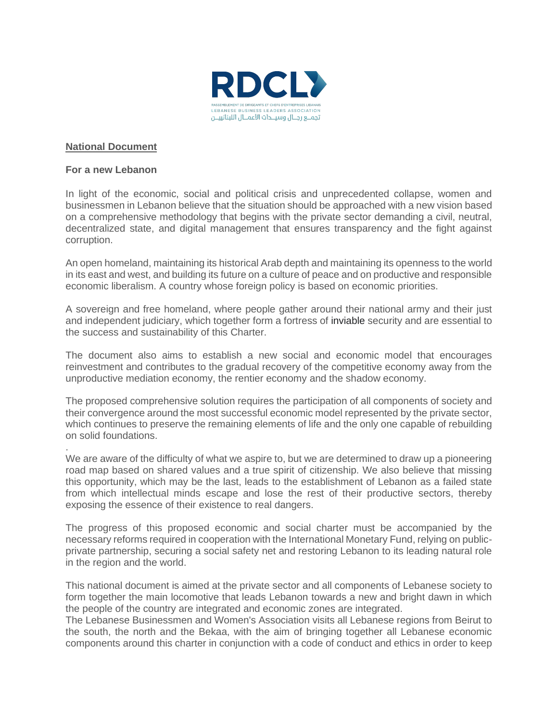

## **National Document**

## **For a new Lebanon**

.

In light of the economic, social and political crisis and unprecedented collapse, women and businessmen in Lebanon believe that the situation should be approached with a new vision based on a comprehensive methodology that begins with the private sector demanding a civil, neutral, decentralized state, and digital management that ensures transparency and the fight against corruption.

An open homeland, maintaining its historical Arab depth and maintaining its openness to the world in its east and west, and building its future on a culture of peace and on productive and responsible economic liberalism. A country whose foreign policy is based on economic priorities.

A sovereign and free homeland, where people gather around their national army and their just and independent judiciary, which together form a fortress of inviable security and are essential to the success and sustainability of this Charter.

The document also aims to establish a new social and economic model that encourages reinvestment and contributes to the gradual recovery of the competitive economy away from the unproductive mediation economy, the rentier economy and the shadow economy.

The proposed comprehensive solution requires the participation of all components of society and their convergence around the most successful economic model represented by the private sector, which continues to preserve the remaining elements of life and the only one capable of rebuilding on solid foundations.

We are aware of the difficulty of what we aspire to, but we are determined to draw up a pioneering road map based on shared values and a true spirit of citizenship. We also believe that missing this opportunity, which may be the last, leads to the establishment of Lebanon as a failed state from which intellectual minds escape and lose the rest of their productive sectors, thereby exposing the essence of their existence to real dangers.

The progress of this proposed economic and social charter must be accompanied by the necessary reforms required in cooperation with the International Monetary Fund, relying on publicprivate partnership, securing a social safety net and restoring Lebanon to its leading natural role in the region and the world.

This national document is aimed at the private sector and all components of Lebanese society to form together the main locomotive that leads Lebanon towards a new and bright dawn in which the people of the country are integrated and economic zones are integrated.

The Lebanese Businessmen and Women's Association visits all Lebanese regions from Beirut to the south, the north and the Bekaa, with the aim of bringing together all Lebanese economic components around this charter in conjunction with a code of conduct and ethics in order to keep